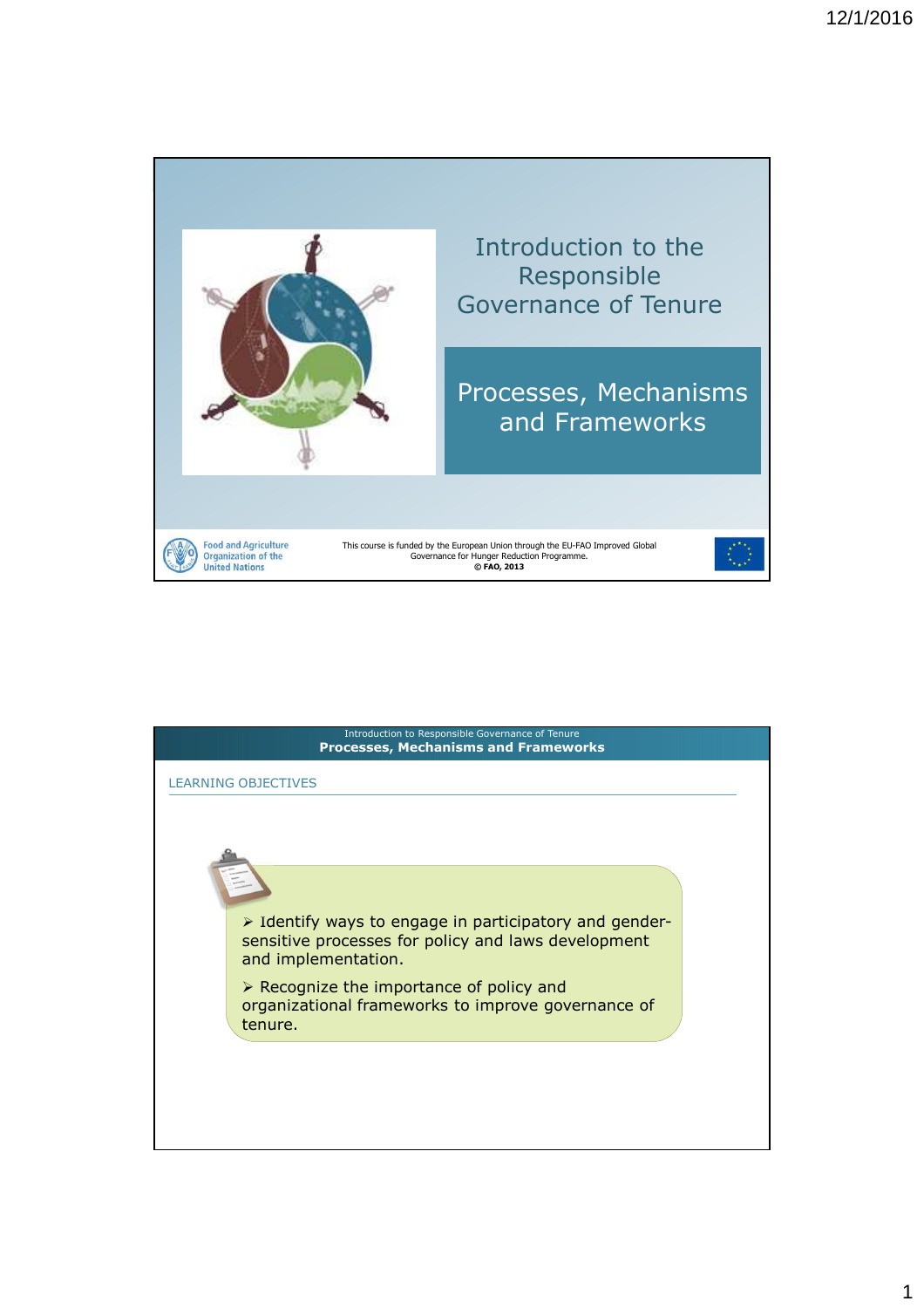

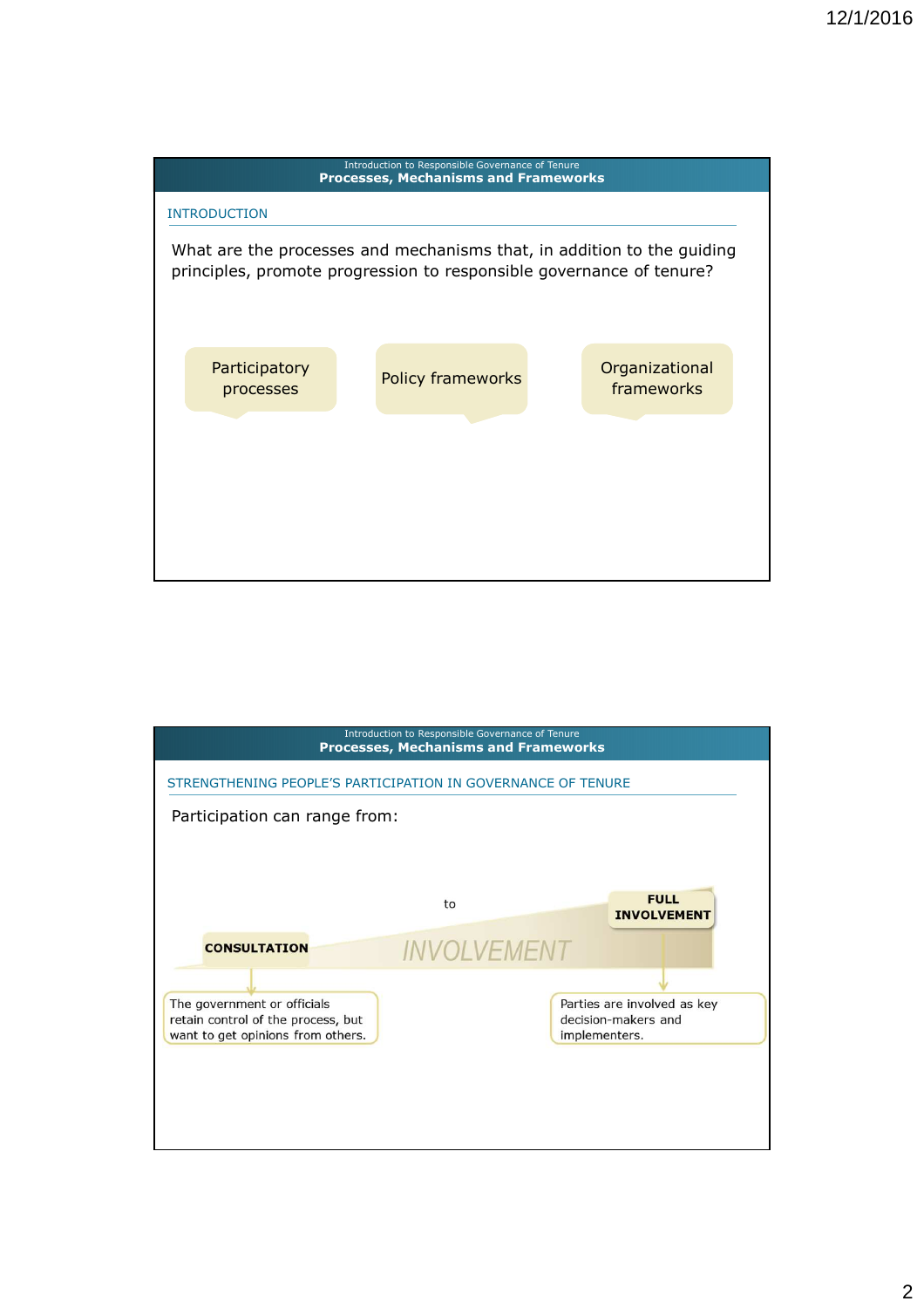



2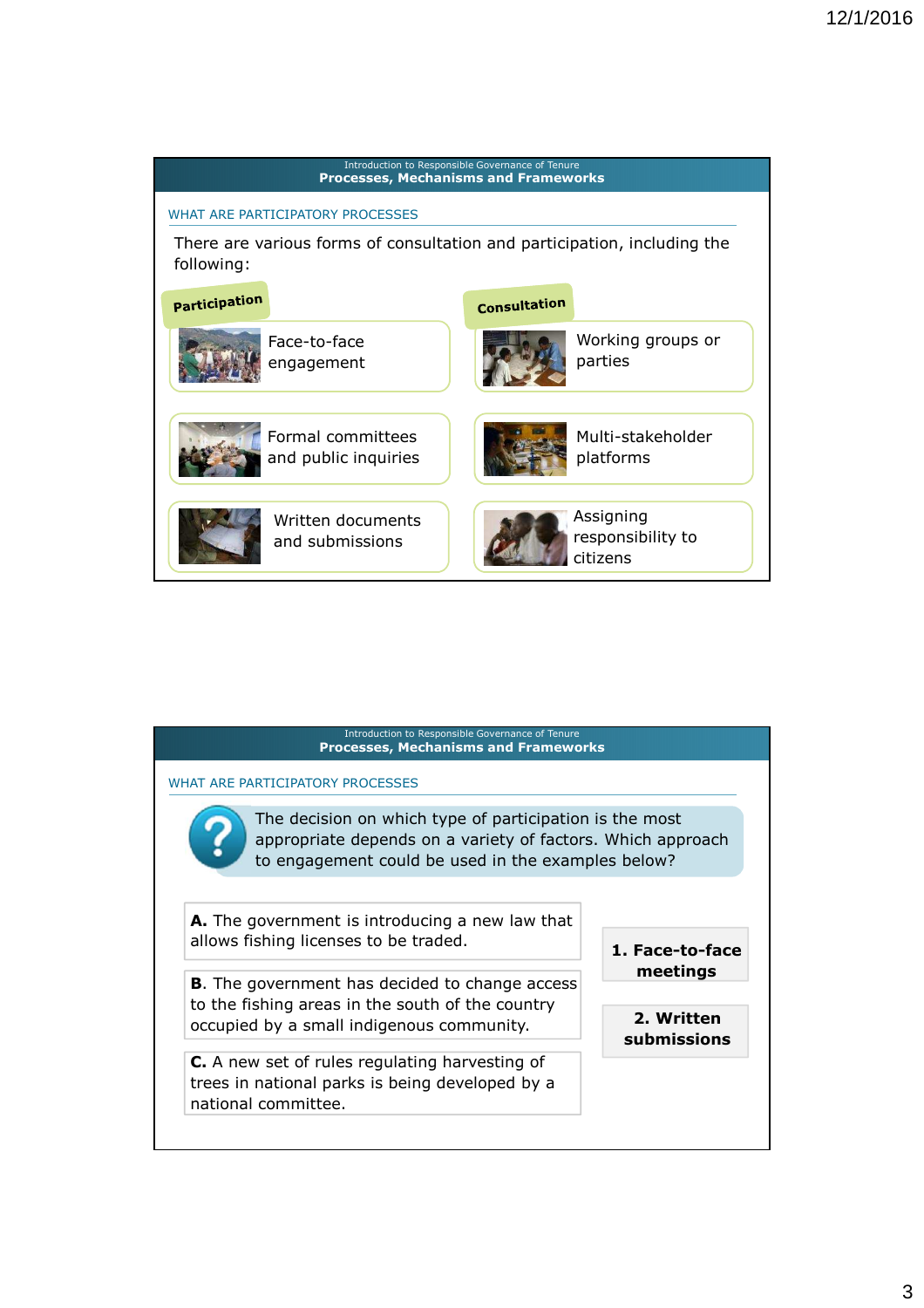

| Introduction to Responsible Governance of Tenure<br><b>Processes, Mechanisms and Frameworks</b>                                                                              |                                                          |
|------------------------------------------------------------------------------------------------------------------------------------------------------------------------------|----------------------------------------------------------|
| WHAT ARE PARTICIPATORY PROCESSES                                                                                                                                             |                                                          |
| The decision on which type of participation is the most<br>appropriate depends on a variety of factors. Which approach<br>to engagement could be used in the examples below? |                                                          |
| A. The government is introducing a new law that<br>allows fishing licenses to be traded.                                                                                     | 1. Face-to-face<br>meetings<br>2. Written<br>submissions |
| <b>B.</b> The government has decided to change access<br>to the fishing areas in the south of the country<br>occupied by a small indigenous community.                       |                                                          |
| <b>C.</b> A new set of rules regulating harvesting of<br>trees in national parks is being developed by a<br>national committee.                                              |                                                          |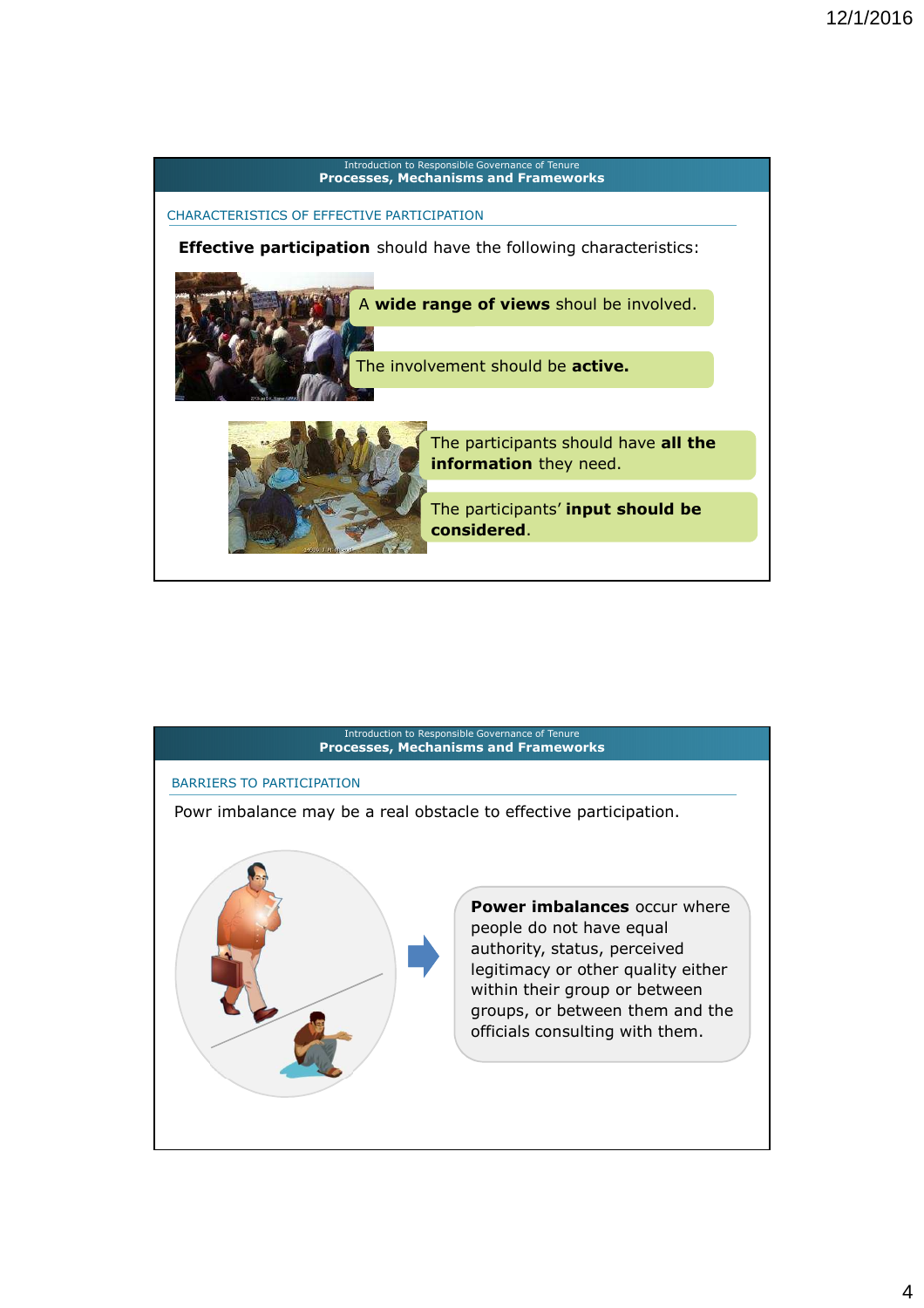

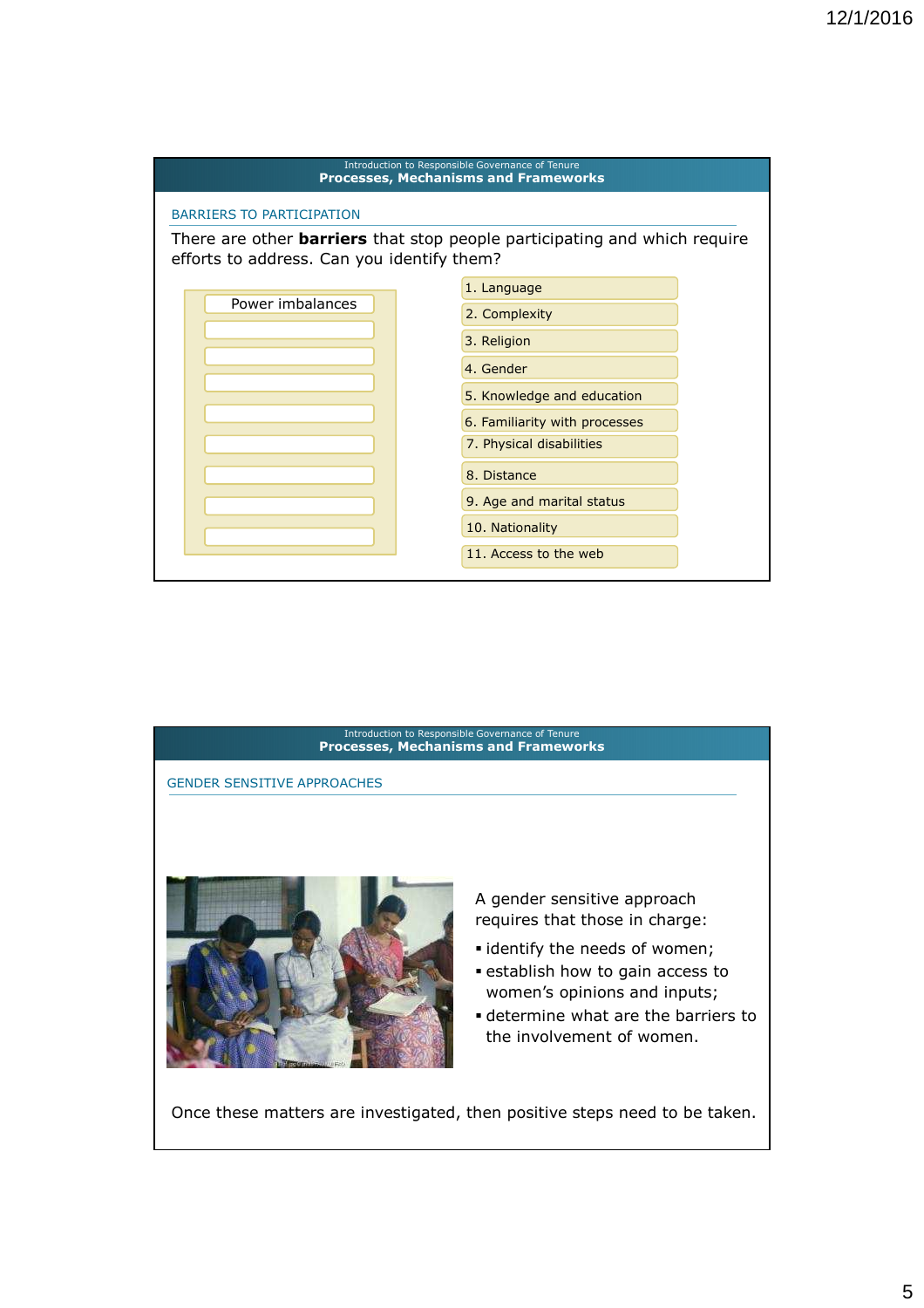



Once these matters are investigated, then positive steps need to be taken.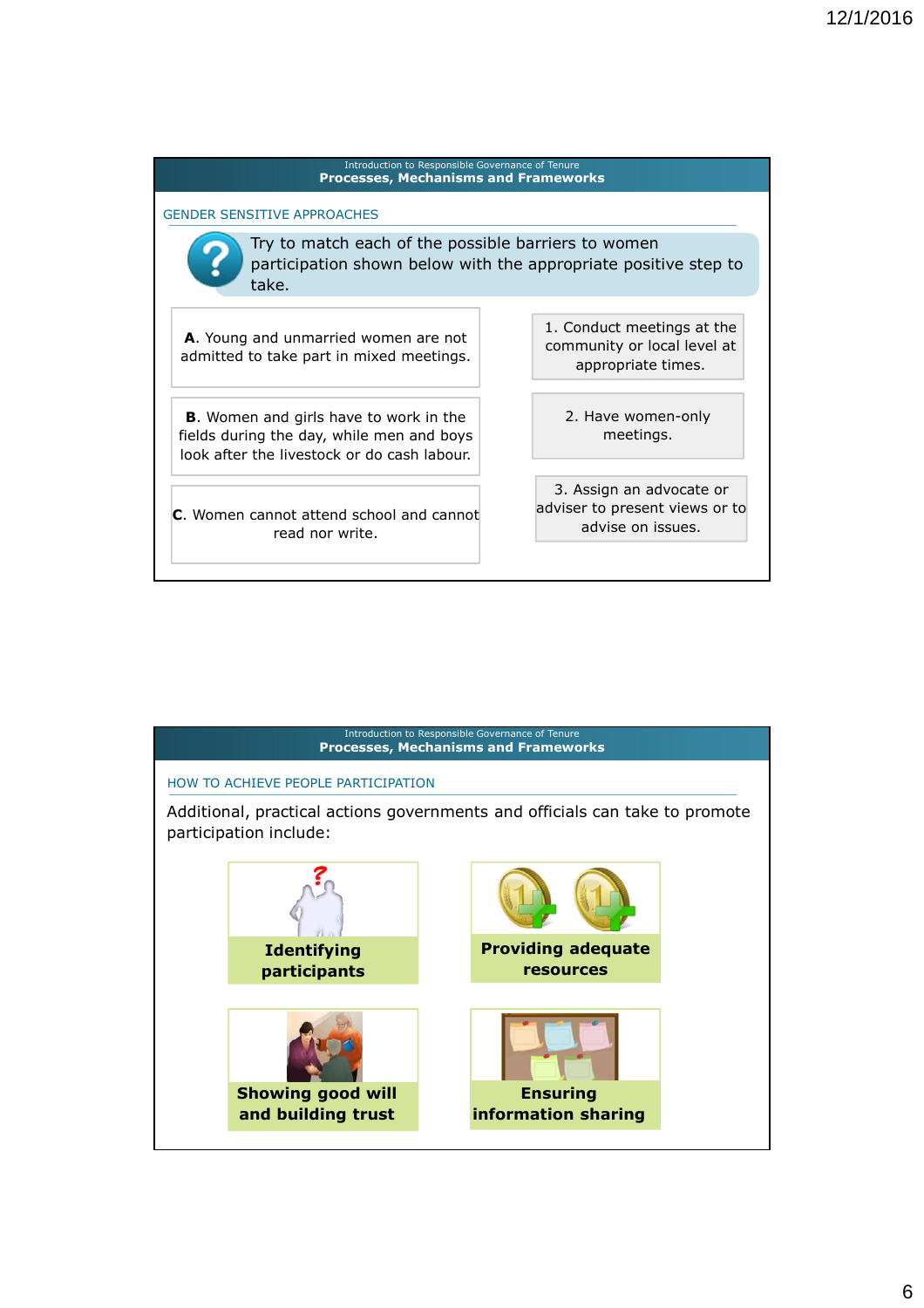

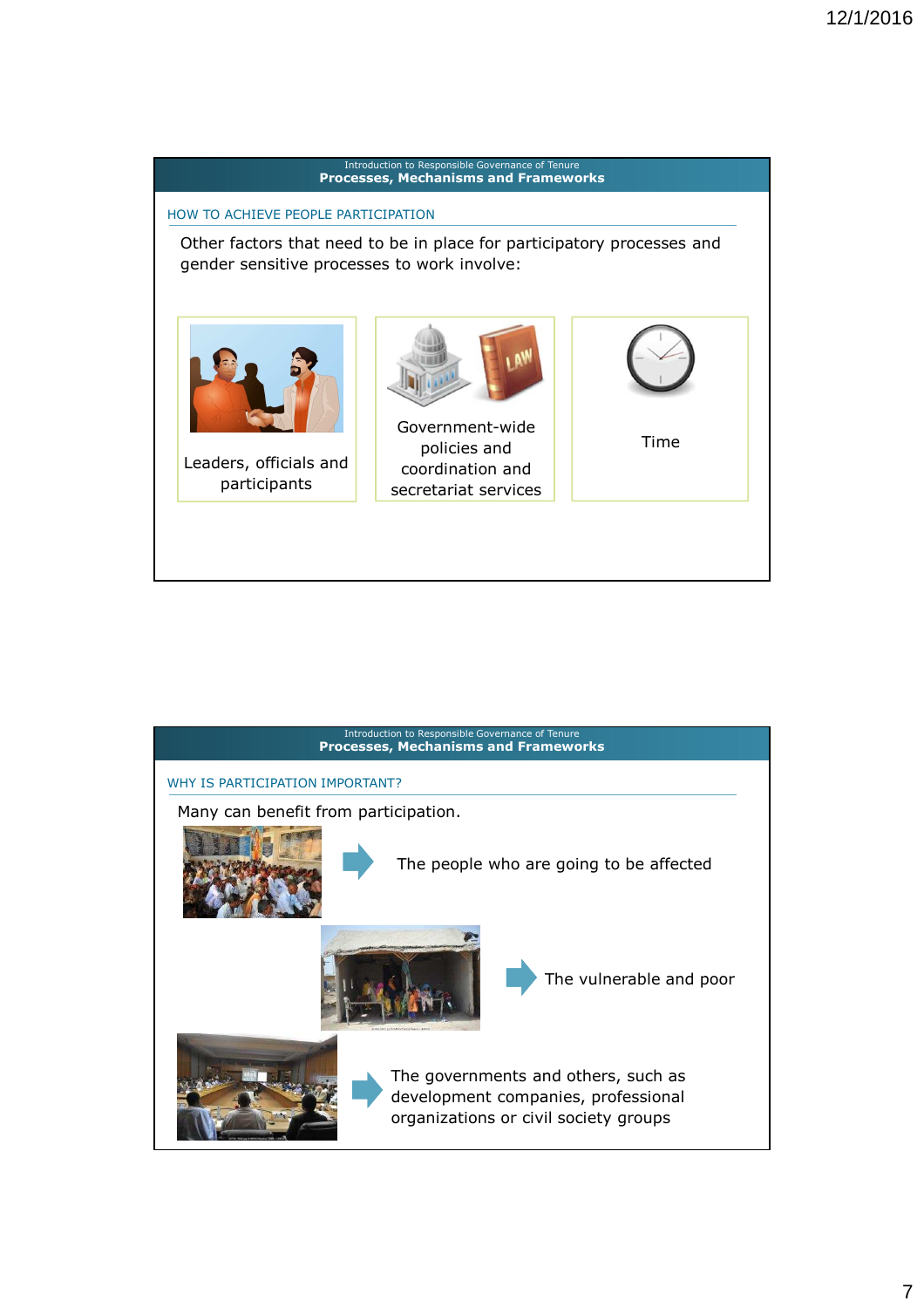

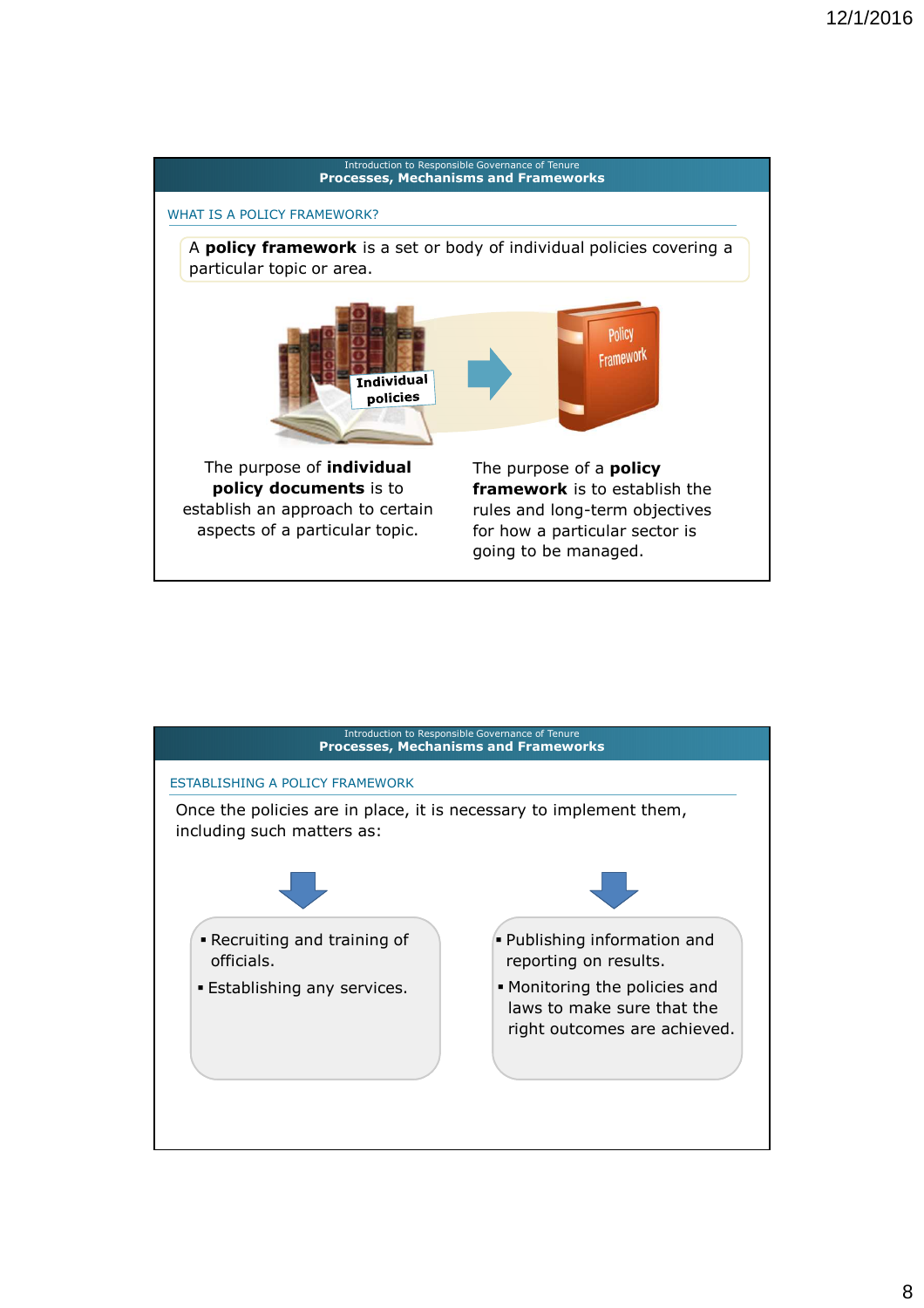

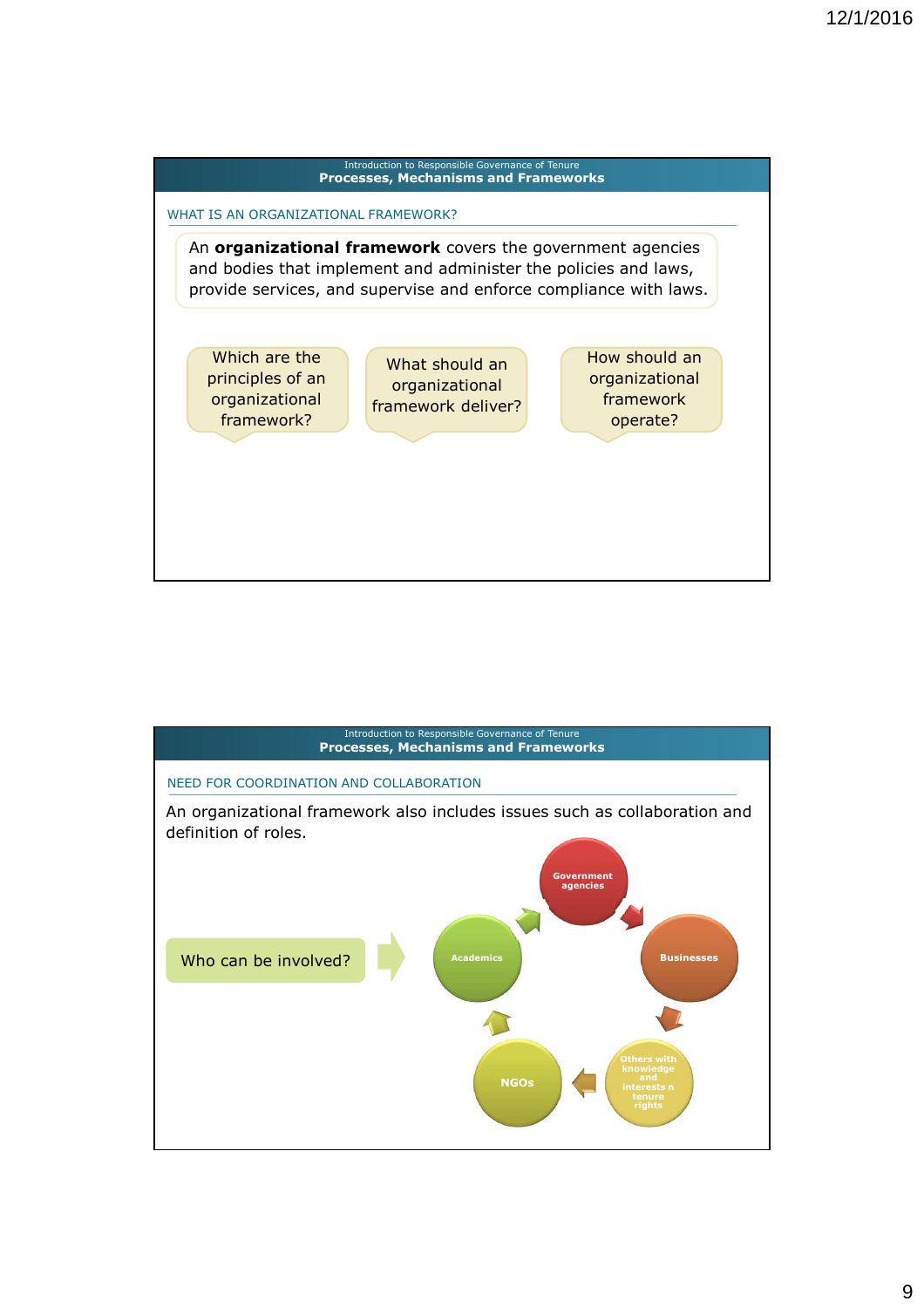

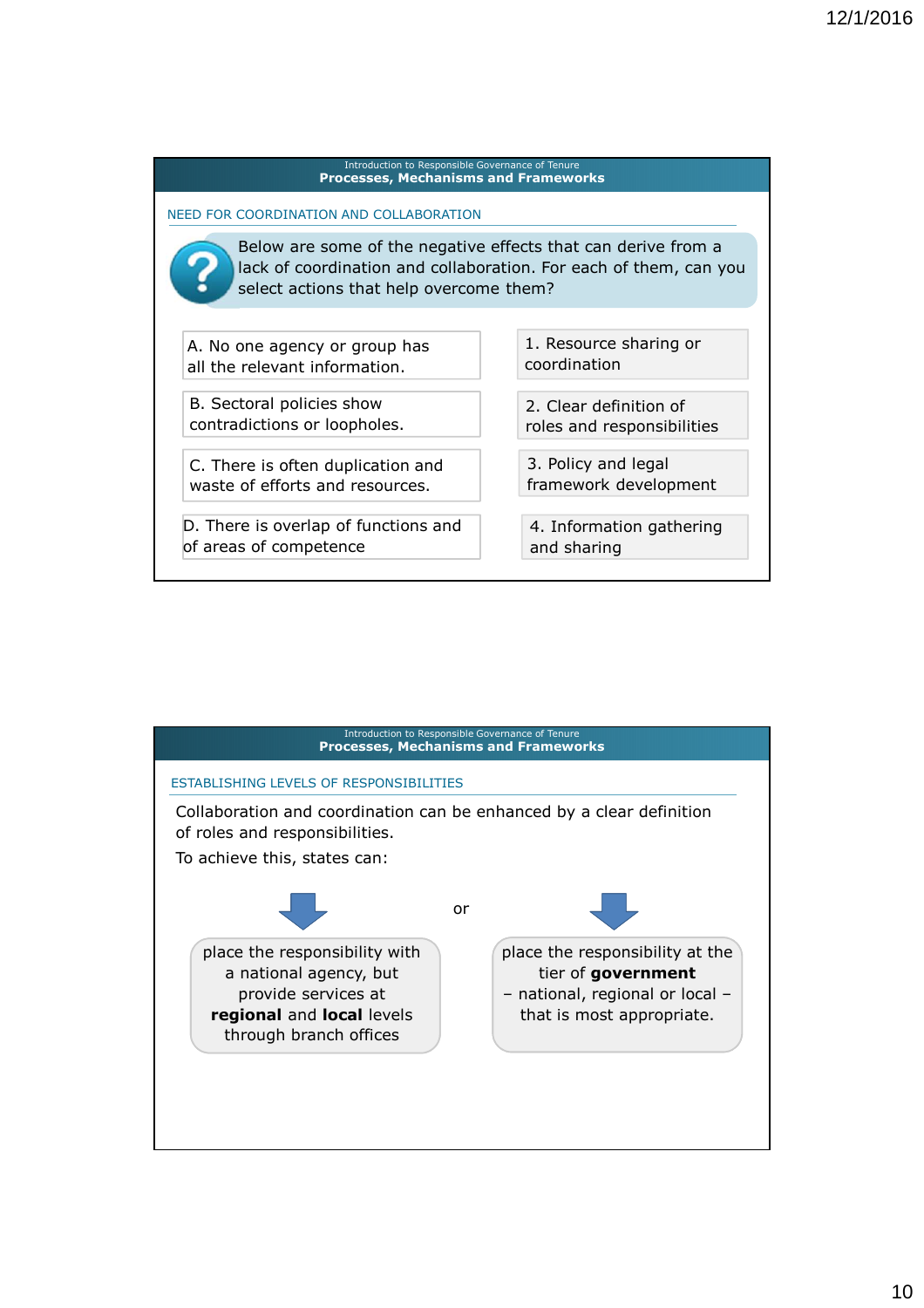